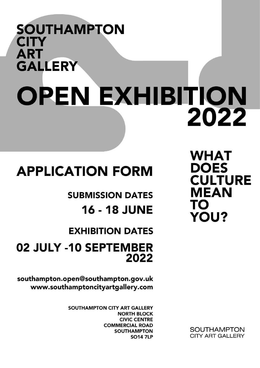## **SOUTHAMPTON CITY ART GALLERY** OPEN EXHIBITION 2022

**WHAT DOES CULTURE MEAN** TO **YOU?** 

### **APPLICATION FORM**

**SUBMISSION DATES 16 - 18 JUNE** 

**EXHIBITION DATES** 

### 02 JULY -10 SEPTEMBER 2022

southampton.open@southampton.gov.uk www.southamptoncityartgallery.com

> SOUTHAMPTON CITY ART GALLERY **NORTH BLOCK CIVIC CENTRE COMMERCIAL ROAD SOUTHAMPTON SO14 7LP**

**SOUTHAMPTON CITY ART GALLERY**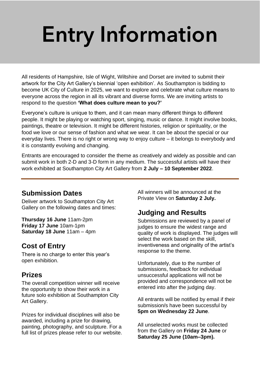## Entry Information

All residents of Hampshire, Isle of Wight, Wiltshire and Dorset are invited to submit their artwork for the City Art Gallery's biennial 'open exhibition'. As Southampton is bidding to become UK City of Culture in 2025, we want to explore and celebrate what culture means to everyone across the region in all its vibrant and diverse forms. We are inviting artists to respond to the question **'What does culture mean to you?'**

Everyone's culture is unique to them, and it can mean many different things to different people. It might be playing or watching sport, singing, music or dance. It might involve books, paintings, theatre or television. It might be different histories, religion or spirituality, or the food we love or our sense of fashion and what we wear. It can be about the special or our everyday lives. There is no right or wrong way to enjoy culture – it belongs to everybody and it is constantly evolving and changing.

Entrants are encouraged to consider the theme as creatively and widely as possible and can submit work in both 2-D and 3-D form in any medium. The successful artists will have their work exhibited at Southampton City Art Gallery from **2 July – 10 September 2022**.

#### **Submission Dates**

Deliver artwork to Southampton City Art Gallery on the following dates and times:

**Thursday 16 June** 11am-2pm **Friday 17 June** 10am-1pm **Saturday 18 June** 11am – 4pm

#### **Cost of Entry**

There is no charge to enter this year's open exhibition.

#### **Prizes**

The overall competition winner will receive the opportunity to show their work in a future solo exhibition at Southampton City Art Gallery.

Prizes for individual disciplines will also be awarded, including a prize for drawing, painting, photography, and sculpture. For a full list of prizes please refer to our website. All winners will be announced at the Private View on **Saturday 2 July.**

#### **Judging and Results**

Submissions are reviewed by a panel of judges to ensure the widest range and quality of work is displayed. The judges will select the work based on the skill, inventiveness and originality of the artist's response to the theme.

Unfortunately, due to the number of submissions, feedback for individual unsuccessful applications will not be provided and correspondence will not be entered into after the judging day.

All entrants will be notified by email if their submission/s have been successful by **5pm on Wednesday 22 June**.

All unselected works must be collected from the Gallery on **Friday 24 June** or **Saturday 25 June (10am–3pm).**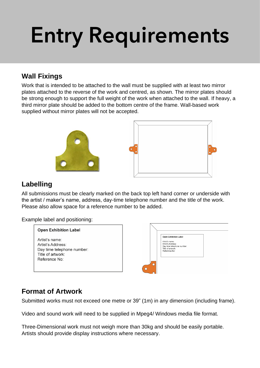# Entry Requirements

#### **Wall Fixings**

Work that is intended to be attached to the wall must be supplied with at least two mirror plates attached to the reverse of the work and centred, as shown. The mirror plates should be strong enough to support the full weight of the work when attached to the wall. If heavy, a third mirror plate should be added to the bottom centre of the frame. Wall-based work supplied without mirror plates will not be accepted.



#### **Labelling**

All submissions must be clearly marked on the back top left hand corner or underside with the artist / maker's name, address, day-time telephone number and the title of the work. Please also allow space for a reference number to be added.

Example label and positioning:

| <b>Open Exhibition Label</b>                                                                            |   |                                                                                                                                         |  |
|---------------------------------------------------------------------------------------------------------|---|-----------------------------------------------------------------------------------------------------------------------------------------|--|
| Artist's name:<br>Artist's Address:<br>Day time telephone number:<br>Title of artwork:<br>Reference No: | ∩ | <b>Open Exhibition Label</b><br>Artist's name:<br>Artist's Address:<br>Day time telephone number:<br>Title of artwork:<br>Reference No: |  |

#### **Format of Artwork**

Submitted works must not exceed one metre or 39" (1m) in any dimension (including frame).

Video and sound work will need to be supplied in Mpeg4/ Windows media file format.

Three-Dimensional work must not weigh more than 30kg and should be easily portable. Artists should provide display instructions where necessary.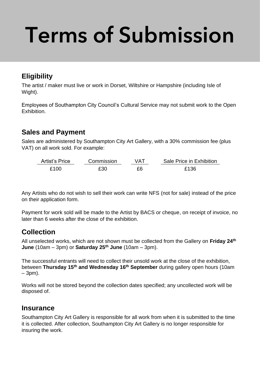# Terms of Submission

#### **Eligibility**

The artist / maker must live or work in Dorset, Wiltshire or Hampshire (including Isle of Wight).

Employees of Southampton City Council's Cultural Service may not submit work to the Open Exhibition.

#### **Sales and Payment**

Sales are administered by Southampton City Art Gallery, with a 30% commission fee (plus VAT) on all work sold. For example:

| Artist's Price | Commission | VAT | Sale Price in Exhibition |
|----------------|------------|-----|--------------------------|
| £100           | £30        | £6  | £136                     |

Any Artists who do not wish to sell their work can write NFS (not for sale) instead of the price on their application form.

Payment for work sold will be made to the Artist by BACS or cheque, on receipt of invoice, no later than 6 weeks after the close of the exhibition.

#### **Collection**

All unselected works, which are not shown must be collected from the Gallery on **Friday 24th June** (10am – 3pm) or **Saturday 25th June** (10am – 3pm).

The successful entrants will need to collect their unsold work at the close of the exhibition, between **Thursday 15th and Wednesday 16th September** during gallery open hours (10am – 3pm).

Works will not be stored beyond the collection dates specified; any uncollected work will be disposed of.

#### **Insurance**

Southampton City Art Gallery is responsible for all work from when it is submitted to the time it is collected. After collection, Southampton City Art Gallery is no longer responsible for insuring the work.